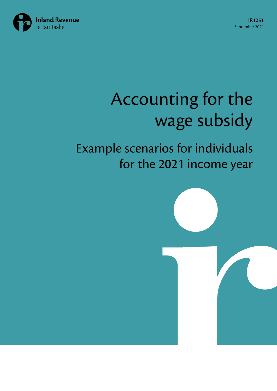

# Accounting for the wage subsidy

## Example scenarios for individuals for the 2021 income year

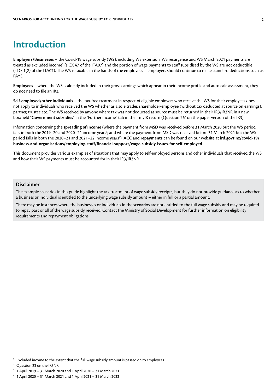### <span id="page-1-0"></span>**Introduction**

**Employers/Businesses** – the Covid-19 wage subsidy (**WS**), including WS extension, WS resurgence and WS March 2021 payments are treated as excluded income<sup>1</sup> (s CX 47 of the ITA07) and the portion of wage payments to staff subsidised by the WS are not deductible (s DF 1(2) of the ITA07). The WS is taxable in the hands of the employees – employers should continue to make standard deductions such as PAYE.

**Employees** – where the WS is already included in their gross earnings which appear in their income profile and auto calc assessment, they do not need to file an IR3.

**Self-employed/other individuals** – the tax-free treatment in respect of eligible employers who receive the WS for their employees does not apply to individuals who received the WS whether as a sole trader, shareholder-employee (without tax deducted at source on earnings), partner, trustee etc. The WS received by anyone where tax was not deducted at source must be returned in their IR3/IR3NR in a new box/field "Government subsidies" in the "Further income" tab in their myIR return (Question 26<sup>2</sup> on the paper version of the IR3).

Information concerning the **spreading of income** (where the payment from MSD was received before 31 March 2020 but the WS period falls in both the 2019–20 and 2020–21 income years<sup>3</sup>; and where the payment from MSD was received before 31 March 2021 but the WS period falls in both the 2020–21 and 2021–22 income years<sup>4</sup>), **ACC** and **repayments** can be found on our website at **[ird.govt.nz/covid-19/](https://www.ird.govt.nz/covid-19/business-and-organisations/employing-staff/financial-support/wage-subsidy-issues-for-self-employed) [business-and-organisations/employing-staff/financial-support/wage-subsidy-issues-for-self-employed](https://www.ird.govt.nz/covid-19/business-and-organisations/employing-staff/financial-support/wage-subsidy-issues-for-self-employed)**

This document provides various examples of situations that may apply to self-employed persons and other individuals that received the WS and how their WS payments must be accounted for in their IR3/IR3NR.

#### **Disclaimer**

The example scenarios in this guide highlight the tax treatment of wage subsidy receipts, but they do not provide guidance as to whether a business or individual is entitled to the underlying wage subsidy amount – either in full or a partial amount.

There may be instances where the businesses or individuals in the scenarios are not entitled to the full wage subsidy and may be required to repay part or all of the wage subsidy received. Contact the Ministry of Social Development for further information on eligibility requirements and repayment obligations.

**<sup>2</sup>** Question 23 on the IR3NR

- **<sup>3</sup>** 1 April 2019 31 March 2020 and 1 April 2020 31 March 2021
- **<sup>4</sup>** 1 April 2020 31 March 2021 and 1 April 2021 31 March 2022

**<sup>1</sup>** Excluded income to the extent that the full wage subsidy amount is passed on to employees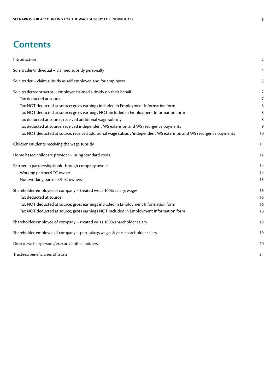### **Contents**

| Introduction                                                                                                     | $\overline{2}$ |
|------------------------------------------------------------------------------------------------------------------|----------------|
| Sole trader/individual - claimed subsidy personally                                                              | 4              |
| Sole trader - claim subsidy as self-employed and for employees                                                   | 5              |
| Sole trader/contractor - employer claimed subsidy on their behalf                                                | 7              |
| Tax deducted at source                                                                                           | 7              |
| Tax NOT deducted at source; gross earnings included in Employment Information form                               | 8              |
| Tax NOT deducted at source; gross earnings NOT included in Employment Information form                           | 8              |
| Tax deducted at source, received additional wage subsidy                                                         | 8              |
| Tax deducted at source, received independent WS extension and WS resurgence payments                             | 9              |
| Tax NOT deducted at source, received additional wage subsidy/independent WS extension and WS resurgence payments | 10             |
| Children/students receiving the wage subsidy                                                                     | 11             |
| Home based childcare provider - using standard costs                                                             | 12             |
| Partner in partnership/look-through company owner                                                                | 14             |
| Working partner/LTC owner                                                                                        | 14             |
| Non-working partners/LTC owners                                                                                  | 15             |
| Shareholder-employee of company - treated ws as 100% salary/wages                                                | 16             |
| Tax deducted at source                                                                                           | 16             |
| Tax NOT deducted at source; gross earnings included in Employment Information form                               | 16             |
| Tax NOT deducted at source; gross earnings NOT included in Employment Information form                           | 16             |
| Shareholder-employee of company - treated ws as 100% shareholder salary                                          | 18             |
| Shareholder-employee of company - part salary/wages & part shareholder salary                                    | 19             |
| Directors/chairpersons/executive office holders                                                                  | 20             |
| Trustees/beneficiaries of trusts                                                                                 | 21             |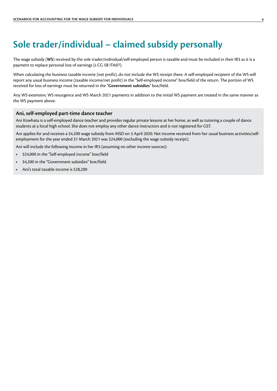### <span id="page-3-0"></span>**Sole trader/individual – claimed subsidy personally**

The wage subsidy (**WS**) received by the sole trader/individual/self-employed person is taxable and must be included in their IR3 as it is a payment to replace personal loss of earnings (s CG 5B ITA07).

When calculating the business taxable income (net profit), do not include the WS receipt there. A self-employed recipient of the WS will report any usual business income (taxable income/net profit) in the "Self-employed income" box/field of the return. The portion of WS received for loss of earnings must be returned in the "**Government subsidies**" box/field.

Any WS extension, WS resurgence and WS March 2021 payments in addition to the initial WS payment are treated in the same manner as the WS payment above.

### **Ani, self-employed part-time dance teacher**

Ani Kowhatu is a self-employed dance teacher and provides regular private lessons at her home, as well as tutoring a couple of dance students at a local high school. She does not employ any other dance instructors and is not registered for GST.

Ani applies for and receives a \$4,200 wage subsidy from MSD on 3 April 2020. Net income received from her usual business activities/selfemployment for the year ended 31 March 2021 was \$24,000 (excluding the wage subsidy receipt).

Ani will include the following income in her IR3 (assuming no other income sources):

- **•** \$24,000 in the "Self-employed income" box/field
- **•** \$4,200 in the "Government subsidies" box/field.
- **•** Ani's total taxable income is \$28,200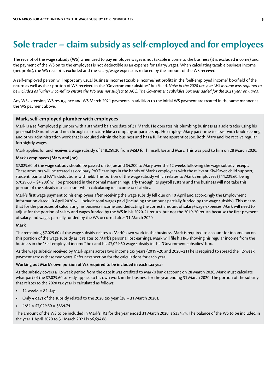### <span id="page-4-0"></span>**Sole trader – claim subsidy as self-employed and for employees**

The receipt of the wage subsidy (**WS**) when used to pay employee wages is not taxable income to the business (it is excluded income) and the payment of the WS on to the employees is not deductible as an expense for salary/wages. When calculating taxable business income (net profit), the WS receipt is excluded and the salary/wage expense is reduced by the amount of the WS received.

A self-employed person will report any usual business income (taxable income/net profit) in the "Self-employed income" box/field of the return as well as their portion of WS received in the "**Government subsidies**" box/field. *Note: in the 2020 tax year WS income was required to be included as "Other income" to ensure the WS was not subject to ACC. The Government subsidies box was added for the 2021 year onwards.*

Any WS extension, WS resurgence and WS March 2021 payments in addition to the initial WS payment are treated in the same manner as the WS payment above.

### **Mark, self-employed plumber with employees**

Mark is a self-employed plumber with a standard balance date of 31 March. He operates his plumbing business as a sole trader using his personal IRD number and not through a structure like a company or partnership. He employs Mary part-time to assist with book-keeping and other administration work that is required within the business and has a full-time apprentice Joe. Both Mary and Joe receive regular fortnightly wages.

Mark applies for and receives a wage subsidy of \$18,259.20 from MSD for himself, Joe and Mary. This was paid to him on 28 March 2020.

### **Mark's employees (Mary and Joe)**

\$7,029.60 of the wage subsidy should be passed on to Joe and \$4,200 to Mary over the 12 weeks following the wage subsidy receipt. These amounts will be treated as ordinary PAYE earnings in the hands of Mark's employees with the relevant KiwiSaver, child support, student loan and PAYE deductions withheld. This portion of the wage subsidy which relates to Mark's employees (\$11,229.60, being \$7029.60 + \$4,200) will be processed in the normal manner, regularly through its payroll system and the business will not take this portion of the subsidy into account when calculating its income tax liability.

Mark's first wage payment to his employees after receiving the wage subsidy fell due on 10 April and accordingly the Employment Information dated 10 April 2020 will include total wages paid (including the amount partially funded by the wage subsidy). This means that for the purposes of calculating his business income and deducting the correct amount of salary/wage expenses, Mark will need to adjust for the portion of salary and wages funded by the WS in his 2020-21 return, but not the 2019-20 return because the first payment of salary and wages partially funded by the WS occurred after 31 March 2020.

### **Mark**

The remaining \$7,029.60 of the wage subsidy relates to Mark's own work in the business. Mark is required to account for income tax on this portion of the wage subsidy as it relates to Mark's personal lost earnings. Mark will file his IR3 showing his regular income from the business in the "Self-employed income" box and his \$7,029.60 wage subsidy in the "Government subsidies" box.

As the wage subsidy received by Mark spans across two income tax years (2019–20 and 2020–21) he is required to spread the 12-week payment across these two years. Refer next section for the calculations for each year.

#### **Working out Mark's own portion of WS required to be included in each tax year**

As the subsidy covers a 12-week period from the date it was credited to Mark's bank account on 28 March 2020, Mark must calculate what part of the \$7,029.60 subsidy applies to his own work in the business for the year ending 31 March 2020. The portion of the subsidy that relates to the 2020 tax year is calculated as follows:

- **•** 12 weeks = 84 days.
- **•** Only 4 days of the subsidy related to the 2020 tax year (28 31 March 2020).
- $4/84 \times $7,029.60 = $334.74$

The amount of the WS to be included in Mark's IR3 for the year ended 31 March 2020 is \$334.74. The balance of the WS to be included in the year 1 April 2020 to 31 March 2021 is \$6,694.86.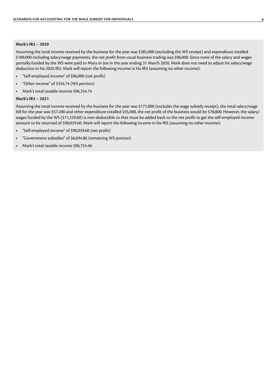#### **Mark's IR3 – 2020**

Assuming the total income received by the business for the year was \$285,000 (excluding the WS receipt) and expenditure totalled \$189,000 including salary/wage payments, the net profit from usual business trading was \$96,000. Since none of the salary and wages partially funded by the WS were paid to Mary or Joe in the year ending 31 March 2020, Mark does not need to adjust his salary/wage deduction in his 2020 IR3. Mark will report the following income in his IR3 (assuming no other income):

- **•** "Self-employed income" of \$96,000 (net profit)
- **•** "Other income" of \$334.74 (WS portion)
- **•** Mark's total taxable income \$96,334.74

#### **Mark's IR3 – 2021**

Assuming the total income received by the business for the year was \$171,000 (excludes the wage subsidy receipt), the total salary/wage bill for the year was \$57,200 and other expenditure totalled \$35,000, the net profit of the business would be \$78,800. However, the salary/ wages funded by the WS (\$11,229.60) is non-deductible so that must be added back to the net profit to get the self-employed income amount to be returned of \$90,029.60. Mark will report the following income in his IR3 (assuming no other income):

- **•** "Self-employed income" of \$90,029.60 (net profit)
- **•** "Government subsidies" of \$6,694.86 (remaining WS portion)
- **•** Mark's total taxable income \$96,724.46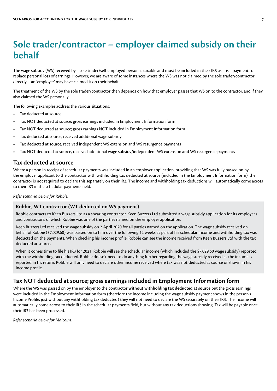### <span id="page-6-0"></span>**Sole trader/contractor – employer claimed subsidy on their behalf**

The wage subsidy (WS) received by a sole trader/self-employed person is taxable and must be included in their IR3 as it is a payment to replace personal loss of earnings. However, we are aware of some instances where the WS was not claimed by the sole trader/contractor directly – an 'employer' may have claimed it on their behalf.

The treatment of the WS by the sole trader/contractor then depends on how that employer passes that WS on to the contractor, and if they also claimed the WS personally.

The following examples address the various situations:

- **•** Tax deducted at source
- **•** Tax NOT deducted at source; gross earnings included in Employment Information form
- **•** Tax NOT deducted at source; gross earnings NOT included in Employment Information form
- **•** Tax deducted at source, received additional wage subsidy
- **•** Tax deducted at source, received independent WS extension and WS resurgence payments
- **•** Tax NOT deducted at source, received additional wage subsidy/independent WS extension and WS resurgence payments

### **Tax deducted at source**

Where a person in receipt of schedular payments was included in an employer application, providing that WS was fully passed on by the employer applicant to the contractor with withholding tax deducted at source (included in the Employment Information form), the contractor is not required to declare this separately on their IR3. The income and withholding tax deductions will automatically come across to their IR3 in the schedular payments field.

*Refer scenario below for Robbie.*

### **Robbie, WT contractor (WT deducted on WS payment)**

Robbie contracts to Keen Buzzers Ltd as a shearing contractor. Keen Buzzers Ltd submitted a wage subsidy application for its employees and contractors, of which Robbie was one of the parties named on the employer application.

Keen Buzzers Ltd received the wage subsidy on 2 April 2020 for all parties named on the application. The wage subsidy received on behalf of Robbie (\$7,029.60) was passed on to him over the following 12 weeks as part of his schedular income and withholding tax was deducted on the payments. When checking his income profile, Robbie can see the income received from Keen Buzzers Ltd with the tax deducted at source.

When it comes time to file his IR3 for 2021, Robbie will see the schedular income (which included the \$7,029.60 wage subsidy) reported with the withholding tax deducted. Robbie doesn't need to do anything further regarding the wage subsidy received as the income is reported in his return. Robbie will only need to declare other income received where tax was not deducted at source or shown in his income profile.

### **Tax NOT deducted at source; gross earnings included in Employment Information form**

Where the WS was passed on by the employer to the contractor **without withholding tax deducted at source** but the gross earnings were included in the Employment Information form (therefore the income including the wage subsidy payment shows in the person's Income Profile, just without any withholding tax deducted) they will not need to declare the WS separately on their IR3. The income will automatically come across to their IR3 in the schedular payments field, but without any tax deductions showing. Tax will be payable once their IR3 has been processed.

*Refer scenario below for Malcolm.*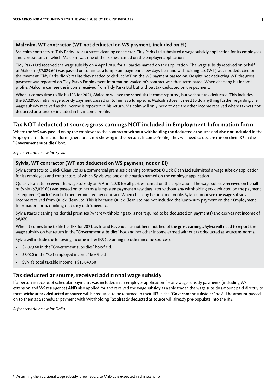### <span id="page-7-0"></span>**Malcolm, WT contractor (WT not deducted on WS payment, included on EI)**

Malcolm contracts to Tidy Parks Ltd as a street cleaning contractor. Tidy Parks Ltd submitted a wage subsidy application for its employees and contractors, of which Malcolm was one of the parties named on the employer application.

Tidy Parks Ltd received the wage subsidy on 4 April 2020 for all parties named on the application. The wage subsidy received on behalf of Malcolm (\$7,029.60) was passed on to him as a lump-sum payment a few days later and withholding tax (WT) was not deducted on the payment. Tidy Parks didn't realise they needed to deduct WT on the WS payment passed on. Despite not deducting WT, the gross payment was reported on Tidy Park's Employment Information. Malcolm's contract was then terminated. When checking his income profile, Malcolm can see the income received from Tidy Parks Ltd but without tax deducted on the payment.

When it comes time to file his IR3 for 2021, Malcolm will see the schedular income reported, but without tax deducted. This includes the \$7,029.60 initial wage subsidy payment passed on to him as a lump sum. Malcolm doesn't need to do anything further regarding the wage subsidy received as the income is reported in his return. Malcolm will only need to declare other income received where tax was not deducted at source or included in his income profile.

### **Tax NOT deducted at source; gross earnings NOT included in Employment Information form**

Where the WS was passed on by the employer to the contractor **without withholding tax deducted at source** and also **not included** in the Employment Information form (therefore is not showing in the person's Income Profile), they will need to declare this on their IR3 in the "**Government subsidies**" box.

*Refer scenario below for Sylvia.*

### **Sylvia, WT contractor (WT not deducted on WS payment, not on EI)**

Sylvia contracts to Quick Clean Ltd as a commercial premises cleaning contractor. Quick Clean Ltd submitted a wage subsidy application for its employees and contractors, of which Sylvia was one of the parties named on the employer application.

Quick Clean Ltd received the wage subsidy on 6 April 2020 for all parties named on the application. The wage subsidy received on behalf of Sylvia (\$7,029.60) was passed on to her as a lump-sum payment a few days later without any withholding tax deducted on the payment as required. Quick Clean Ltd then terminated her contract. When checking her income profile, Sylvia cannot see the wage subsidy income received from Quick Clean Ltd. This is because Quick Clean Ltd has not included the lump-sum payment on their Employment Information form, thinking that they didn't need to.

Sylvia starts cleaning residential premises (where withholding tax is not required to be deducted on payments) and derives net income of \$8,020.

When it comes time to file her IR3 for 2021, as Inland Revenue has not been notified of the gross earnings, Sylvia will need to report the wage subsidy on her return in the "Government subsidies" box and her other income earned without tax deducted at source as normal.

Sylvia will include the following income in her IR3 (assuming no other income sources):

- **•** \$7,029.60 in the "Government subsidies" box/field.
- **•** \$8,020 in the "Self-employed income" box/field
- **•** Sylvia's total taxable income is \$15,049.60

### **Tax deducted at source, received additional wage subsidy**

If a person in receipt of schedular payments was included in an employer application for any wage subsidy payments (including WS extension and WS resurgence) **AND** also applied for and received the wage subsidy as a sole trader, the wage subsidy amount paid directly to them **without tax deducted at source** will be required to be returned in their IR3 in the "**Government subsidies**" box<sup>s</sup>. The amount passed on to them as a schedular payment with Withholding Tax already deducted at source will already pre-populate into the IR3.

*Refer scenario below for Dalip*.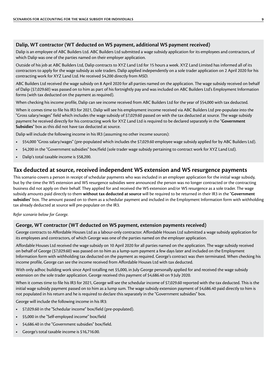### <span id="page-8-0"></span>**Dalip, WT contractor (WT deducted on WS payment, additional WS payment received)**

Dalip is an employee of ABC Builders Ltd. ABC Builders Ltd submitted a wage subsidy application for its employees and contractors, of which Dalip was one of the parties named on their employer application.

Outside of his job at ABC Builders Ltd, Dalip contracts to XYZ Land Ltd for 15 hours a week. XYZ Land Limited has informed all of its contractors to apply for the wage subsidy as sole traders. Dalip applied independently on a sole trader application on 2 April 2020 for his contracting work for XYZ Land Ltd. He received \$4,200 directly from MSD.

ABC Builders Ltd received the wage subsidy on 8 April 2020 for all parties named on the application. The wage subsidy received on behalf of Dalip (\$7,029.60) was passed on to him as part of his fortnightly pay and was included on ABC Builders Ltd's Employment Information forms (with tax deducted on the payment as required).

When checking his income profile, Dalip can see income received from ABC Builders Ltd for the year of \$54,000 with tax deducted.

When it comes time to file his IR3 for 2021, Dalip will see his employment income received via ABC Builders Ltd pre-populate into the "Gross salary/wages" field which includes the wage subsidy of \$7,029.60 passed on with the tax deducted at source. The wage subsidy payment he received directly for his contracting work for XYZ Land Ltd is required to be declared separately in the "**Government Subsidies**" box as this did not have tax deducted at source.

Dalip will include the following income in his IR3 (assuming no other income sources):

- **•** \$54,000 "Gross salary/wages" (pre-populated which includes the \$7,029.60 employee wage subsidy applied for by ABC Builders Ltd).
- **•** \$4,200 in the "Government subsidies" box/field (sole trader wage subsidy pertaining to contract work for XYZ Land Ltd).
- **•** Dalip's total taxable income is \$58,200.

### **Tax deducted at source, received independent WS extension and WS resurgence payments**

This scenario covers a person in receipt of schedular payments who was included in an employer application for the initial wage subsidy, but by the time the WS extension and WS resurgence subsidies were announced the person was no longer contracted or the contracting business did not apply on their behalf. They applied for and received the WS extension and/or WS resurgence as a sole trader. The wage subsidy amounts paid directly to them **without tax deducted at source** will be required to be returned in their IR3 in the "**Government subsidies**" box. The amount passed on to them as a schedular payment and included in the Employment Information form with withholding tax already deducted at source will pre-populate on the IR3.

### *Refer scenario below for George.*

### **George, WT contractor (WT deducted on WS payment, extension payments received)**

George contracts to Affordable Houses Ltd as a labour-only contractor. Affordable Houses Ltd submitted a wage subsidy application for its employees and contractors, of which George was one of the parties named on the employer application.

Affordable Houses Ltd received the wage subsidy on 10 April 2020 for all parties named on the application. The wage subsidy received on behalf of George (\$7,029.60) was passed on to him as a lump-sum payment a few days later and included on the Employment Information form with withholding tax deducted on the payment as required. George's contract was then terminated. When checking his income profile, George can see the income received from Affordable Houses Ltd with tax deducted.

With only adhoc building work since April totalling net \$5,000, in July George personally applied for and received the wage subsidy extension on the sole trader application. George received this payment of \$4,686.40 on 9 July 2020.

When it comes time to file his IR3 for 2021, George will see the schedular income of \$7,029.60 reported with the tax deducted. This is the initial wage subsidy payment passed on to him as a lump sum. The wage subsidy extension payment of \$4,686.40 paid directly to him is not populated in his return and he is required to declare this separately in the "Government subsidies" box.

George will include the following income in his IR3:

- **•** \$7,029.60 in the "Schedular income" box/field (pre-populated).
- **•** \$5,000 in the "Self-employed income" box/field
- **•** \$4,686.40 in the "Government subsidies" box/field.
- **•** George's total taxable income is \$16,716.00.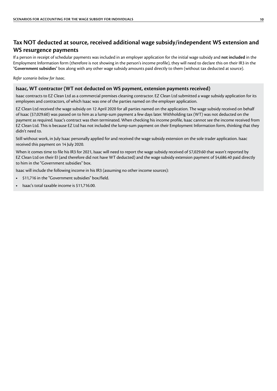### <span id="page-9-0"></span>**Tax NOT deducted at source, received additional wage subsidy/independent WS extension and WS resurgence payments**

If a person in receipt of schedular payments was included in an employer application for the initial wage subsidy and **not included** in the Employment Information form (therefore is not showing in the person's income profile), they will need to declare this on their IR3 in the "**Government subsidies**" box along with any other wage subsidy amounts paid directly to them (without tax deducted at source).

*Refer scenario below for Isaac.*

### **Isaac, WT contractor (WT not deducted on WS payment, extension payments received)**

Isaac contracts to EZ Clean Ltd as a commercial premises cleaning contractor. EZ Clean Ltd submitted a wage subsidy application for its employees and contractors, of which Isaac was one of the parties named on the employer application.

EZ Clean Ltd received the wage subsidy on 12 April 2020 for all parties named on the application. The wage subsidy received on behalf of Isaac (\$7,029.60) was passed on to him as a lump-sum payment a few days later. Withholding tax (WT) was not deducted on the payment as required. Isaac's contract was then terminated. When checking his income profile, Isaac cannot see the income received from EZ Clean Ltd. This is because EZ Ltd has not included the lump-sum payment on their Employment Information form, thinking that they didn't need to.

Still without work, in July Isaac personally applied for and received the wage subsidy extension on the sole trader application. Isaac received this payment on 14 July 2020.

When it comes time to file his IR3 for 2021, Isaac will need to report the wage subsidy received of \$7,029.60 that wasn't reported by EZ Clean Ltd on their EI (and therefore did not have WT deducted) and the wage subsidy extension payment of \$4,686.40 paid directly to him in the "Government subsidies" box.

Isaac will include the following income in his IR3 (assuming no other income sources):

- **•** \$11,716 in the "Government subsidies" box/field.
- **•** Isaac's total taxable income is \$11,716.00.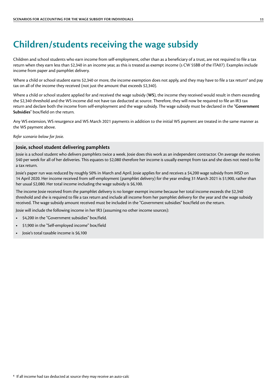### <span id="page-10-0"></span>**Children/students receiving the wage subsidy**

Children and school students who earn income from self-employment, other than as a beneficiary of a trust, are not required to file a tax return when they earn less than \$2,340 in an income year, as this is treated as exempt income (s CW 55BB of the ITA07). Examples include income from paper and pamphlet delivery.

Where a child or school student earns \$2,340 or more, the income exemption does not apply, and they may have to file a tax return<sup>6</sup> and pay tax on all of the income they received (not just the amount that exceeds \$2,340).

Where a child or school student applied for and received the wage subsidy (**WS**), the income they received would result in them exceeding the \$2,340 threshold and the WS income did not have tax deducted at source. Therefore, they will now be required to file an IR3 tax return and declare both the income from self-employment and the wage subsidy. The wage subsidy must be declared in the "**Government Subsidies**" box/field on the return.

Any WS extension, WS resurgence and WS March 2021 payments in addition to the initial WS payment are treated in the same manner as the WS payment above.

*Refer scenario below for Josie.*

### **Josie, school student delivering pamphlets**

Josie is a school student who delivers pamphlets twice a week. Josie does this work as an independent contractor. On average she receives \$40 per week for all of her deliveries. This equates to \$2,080 therefore her income is usually exempt from tax and she does not need to file a tax return.

Josie's paper run was reduced by roughly 50% in March and April. Josie applies for and receives a \$4,200 wage subsidy from MSD on 14 April 2020. Her income received from self-employment (pamphlet delivery) for the year ending 31 March 2021 is \$1,900, rather than her usual \$2,080. Her total income including the wage subsidy is \$6,100.

The income Josie received from the pamphlet delivery is no longer exempt income because her total income exceeds the \$2,340 threshold and she is required to file a tax return and include all income from her pamphlet delivery for the year and the wage subsidy received. The wage subsidy amount received must be included in the "Government subsidies" box/field on the return.

Josie will include the following income in her IR3 (assuming no other income sources):

- **•** \$4,200 in the "Government subsidies" box/field.
- **•** \$1,900 in the "Self-employed income" box/field
- **•** Josie's total taxable income is \$6,100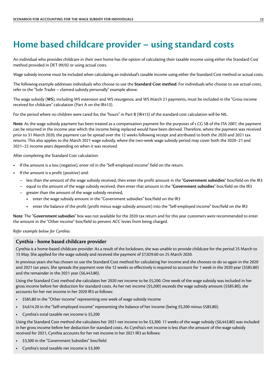### <span id="page-11-0"></span>**Home based childcare provider – using standard costs**

An individual who provides childcare in their own home has the option of calculating their taxable income using either the Standard Cost method provided in DET 09/02 or using actual costs.

Wage subsidy income must be included when calculating an individual's taxable income using either the Standard Cost method or actual costs.

The following example addresses individuals who choose to use the **Standard Cost method**. For individuals who choose to use actual costs, refer to the "Sole Trader – claimed subsidy personally" example above.

The wage subsidy (**WS**), including WS extension and WS resurgence, and WS March 21 payments, must be included in the "Gross income received for childcare" calculation (Part A on the IR413).

For the period where no children were cared for, the "hours" in Part B (IR413) of the standard cost calculation will be NIL.

**Note**: As the wage subsidy payment has been treated as a compensation payment for the purposes of s CG 5B of the ITA 2007, the payment can be returned in the income year which the income being replaced would have been derived. Therefore, where the payment was received prior to 31 March 2020, the payment can be spread over the 12 weeks following receipt and attributed to both the 2020 and 2021 tax returns. This also applies to the March 2021 wage subsidy, where the two-week wage subsidy period may cover both the 2020–21 and 2021–22 income years depending on when it was received.

After completing the Standard Cost calculation:

- **•** If the amount is a loss (negative), enter nil in the "Self-employed income" field on the return.
- **•** If the amount is a profit (positive) and:
	- less than the amount of the wage subsidy received, then enter the profit amount in the "**Government subsidies**" box/field on the IR3
	- equal to the amount of the wage subsidy received, then enter that amount in the "**Government subsidies**" box/field on the IR3
	- greater than the amount of the wage subsidy received,
		- **•** enter the wage subsidy amount in the "Government subsidies" box/field on the IR3
		- **•** enter the balance of the profit (profit minus wage subsidy amount) into the "Self-employed income" box/field on the IR3

**Note**: The "**Government subsidies**" box was not available for the 2020 tax return and for this year customers were recommended to enter the amount in the "Other income" box/field to prevent ACC levies from being charged.

*Refer example below for Cynthia.*

### **Cynthia - home based childcare provider**

Cynthia is a home-based childcare provider. As a result of the lockdown, she was unable to provide childcare for the period 25 March to 13 May. She applied for the wage subsidy and received the payment of \$7,029.60 on 25 March 2020.

In previous years she has chosen to use the Standard Cost method for calculating her income and she chooses to do so again in the 2020 and 2021 tax years. She spreads the payment over the 12 weeks so effectively is required to account for 1 week in the 2020 year (\$585.80) and the remainder in the 2021 year (\$6,443.80).

Using the Standard Cost method she calculates her 2020 net income to be \$5,200. One week of the wage subsidy was included in her gross income before her deduction for standard costs. As her net income (\$5,200) exceeds the wage subsidy amount (\$585.80), she accounts for her net income in her 2020 IR3 as follows:

- **•** \$585.80 in the "Other income" representing one week of wage subsidy income
- **•** \$4,614.20 in the "Self-employed income" representing the balance of her income (being \$5,200 minus \$585.80).
- **•** Cynthia's total taxable net income is \$5,200

Using the Standard Cost method she calculates her 2021 net income to be \$3,300. 11 weeks of the wage subsidy (\$6,443.80) was included in her gross income before her deduction for standard costs. As Cynthia's net income is less than the amount of the wage subsidy received for 2021, Cynthia accounts for her net income in her 2021 IR3 as follows:

- **•** \$3,300 in the "Government Subsidies" box/field
- **•** Cynthia's total taxable net income is \$3,300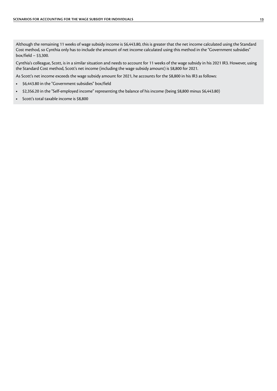Although the remaining 11 weeks of wage subsidy income is \$6,443.80, this is greater that the net income calculated using the Standard Cost method, so Cynthia only has to include the amount of net income calculated using this method in the "Government subsidies" box/field – \$3,300.

Cynthia's colleague, Scott, is in a similar situation and needs to account for 11 weeks of the wage subsidy in his 2021 IR3. However, using the Standard Cost method, Scott's net income (including the wage subsidy amount) is \$8,800 for 2021.

As Scott's net income exceeds the wage subsidy amount for 2021, he accounts for the \$8,800 in his IR3 as follows:

- **•** \$6,443.80 in the "Government subsidies" box/field
- **•** \$2,356.20 in the "Self-employed income" representing the balance of his income (being \$8,800 minus \$6,443.80)
- **•** Scott's total taxable income is \$8,800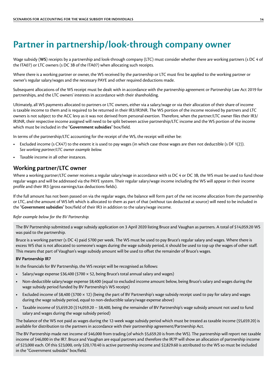### <span id="page-13-0"></span>**Partner in partnership/look-through company owner**

Wage subsidy (**WS**) receipts by a partnership and look-through company (LTC) must consider whether there are working partners (s DC 4 of the ITA07) or LTC owners (s DC 3B of the ITA07) when allocating such receipts.

Where there is a working partner or owner, the WS received by the partnership or LTC must first be applied to the working partner or owner's regular salary/wages and the necessary PAYE and other required deductions made.

Subsequent allocations of the WS receipt must be dealt with in accordance with the partnership agreement or Partnership Law Act 2019 for partnerships, and the LTC owners' interests in accordance with their shareholding.

Ultimately, all WS payments allocated to partners or LTC owners, either via a salary/wage or via their allocation of their share of income is taxable income to them and is required to be returned in their IR3/IR3NR. The WS portion of the income received by partners and LTC owners is not subject to the ACC levy as it was not derived from personal exertion. Therefore, when the partner/LTC owner files their IR3/ IR3NR, their respective income assigned will need to be split between active partnership/LTC income and the WS portion of the income which must be included in the "**Government subsidies**" box/field.

In terms of the partnership/LTC accounting for the receipt of the WS, the receipt will either be:

- **•** Excluded income (s CX47) to the extent it is used to pay wages (in which case those wages are then not deductible (s DF 1(2)). *See working partner/LTC owner example below.*
- **•** Taxable income in all other instances.

### **Working partner/LTC owner**

Where a working partner/LTC owner receives a regular salary/wage in accordance with ss DC 4 or DC 3B, the WS must be used to fund those regular wages and will be addressed via the PAYE system. Their regular salary/wage income including the WS will appear in their income profile and their IR3 (gross earnings/tax deductions fields).

If the full amount has not been passed on via the regular wages, the balance will form part of the net income allocation from the partnership or LTC, and the amount of WS left which is allocated to them as part of that (without tax deducted at source) will need to be included in the "**Government subsidies**" box/field of their IR3 in addition to the salary/wage income.

### *Refer example below for the BV Partnership.*

The BV Partnership submitted a wage subsidy application on 3 April 2020 listing Bruce and Vaughan as partners. A total of \$14,059.20 WS was paid to the partnership.

Bruce is a working partner (s DC 4) paid \$700 per week. The WS must be used to pay Bruce's regular salary and wages. Where there is excess WS that is not allocated to someone's wages during the wage subsidy period, it should be used to top up the wages of other staff. This means that part of Vaughan's wage subsidy amount will be used to offset the remainder of Bruce's wages.

### **BV Partnership IR7**

In the financials for BV Partnership, the WS receipt will be recognised as follows:

- **•** Salary/wage expense \$36,400 (\$700 × 52, being Bruce's total annual salary and wages)
- **•** Non-deductible salary/wage expense \$8,400 (equal to excluded income amount below, being Bruce's salary and wages during the wage subsidy period funded by BV Partnership's WS receipt)
- **•** Excluded income of \$8,400 (\$700 × 12) (being the part of BV Partnership's wage subsidy receipt used to pay for salary and wages during the wage subsidy period, equal to non-deductible salary/wage expense above)
- **•** Taxable income of \$5,659.20 (\$14,059.20 − \$8,400, being the remainder of BV Partnership's wage subsidy amount not used to fund salary and wages during the wage subsidy period)

The balance of the WS not paid as wages during the 12-week wage subsidy period which must be treated as taxable income (\$5,659.20) is available for distribution to the partners in accordance with their partnership agreement/Partnership Act.

The BV Partnership made net income of \$46,000 from trading (of which \$5,659.20 is from the WS). The partnership will report net taxable income of \$46,000 in the IR7. Bruce and Vaughan are equal partners and therefore the IR7P will show an allocation of partnership income of \$23,000 each. Of this \$23,000, only \$20,170.40 is active partnership income and \$2,829.60 is attributed to the WS so must be included in the "Government subsides" box/field.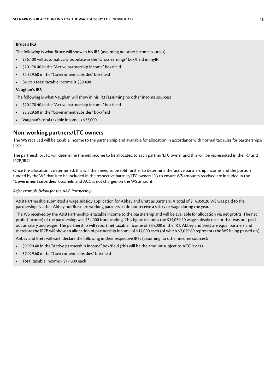#### <span id="page-14-0"></span>**Bruce's IR3**

The following is what Bruce will show in his IR3 (assuming no other income sources)

- **•** \$36,400 will automatically populate in the "Gross earnings" box/field in myIR
- **•** \$20,170.40 in the "Active partnership income" box/field
- **•** \$2,829.60 in the "Government subsides" box/field
- **•** Bruce's total taxable income is \$59,400

### **Vaughan's IR3**

The following is what Vaughan will show in his IR3 (assuming no other income sources)

- **•** \$20,170.40 in the "Active partnership income" box/field
- **•** \$2,829.60 in the "Government subsides" box/field
- **•** Vaughan's total taxable income is \$23,000

### **Non-working partners/LTC owners**

The WS received will be taxable income to the partnership and available for allocation in accordance with normal tax rules for partnerships/ LTCs.

The partnership/LTC will determine the net income to be allocated to each partner/LTC owner and this will be represented in the IR7 and IR7P/IR7L.

Once the allocation is determined, this will then need to be split further to determine the 'active partnership income' and the portion funded by the WS that is to be included in the respective partner/LTC owners IR3 to ensure WS amounts received are included in the "**Government subsidies**" box/field and ACC is not charged on the WS amount.

*Refer example below for the A&B Partnership.*

A&B Partnership submitted a wage subsidy application for Abbey and Brett as partners. A total of \$14,059.20 WS was paid to the partnership. Neither Abbey nor Brett are working partners so do not receive a salary or wage during the year.

The WS received by the A&B Partnership is taxable income to the partnership and will be available for allocation via net profits. The net profit (income) of the partnership was \$34,000 from trading. This figure includes the \$14,059.20 wage subsidy receipt that was not paid out as salary and wages. The partnership will report net taxable income of \$34,000 in the IR7. Abbey and Brett are equal partners and therefore the IR7P will show an allocation of partnership income of \$17,000 each (of which \$7,029.60 represents the WS being passed on).

Abbey and Brett will each declare the following in their respective IR3s (assuming no other income sources):

- **•** \$9,970.40 in the "Active partnership income" box/field (this will be the amount subject to ACC levies)
- **•** \$7,029.60 in the "Government subsidies" box/field
- **•** Total taxable income \$17,000 each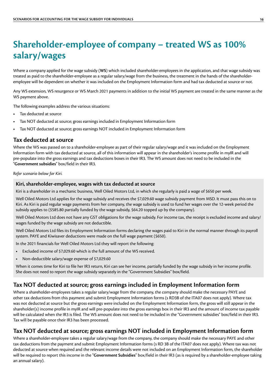### <span id="page-15-0"></span>**Shareholder-employee of company – treated WS as 100% salary/wages**

Where a company applied for the wage subsidy (**WS**) which included shareholder-employees in the application, and that wage subsidy was treated as paid to the shareholder-employee as a regular salary/wage from the business, the treatment in the hands of the shareholderemployee will be dependent on whether it was included on the Employment Information form and had tax deducted at source or not.

Any WS extension, WS resurgence or WS March 2021 payments in addition to the initial WS payment are treated in the same manner as the WS payment above.

The following examples address the various situations:

- **•** Tax deducted at source
- **•** Tax NOT deducted at source; gross earnings included in Employment Information form
- **•** Tax NOT deducted at source; gross earnings NOT included in Employment Information form

### **Tax deducted at source**

Where the WS was passed on to a shareholder-employee as part of their regular salary/wage and it was included on the Employment Information form with tax deducted at source, all of this information will appear in the shareholder's income profile in myIR and will pre-populate into the gross earnings and tax deductions boxes in their IR3. The WS amount does not need to be included in the "**Government subsidies**" box/field in their IR3.

*Refer scenario below for Kiri.*

### **Kiri, shareholder-employee, wages with tax deducted at source**

Kiri is a shareholder in a mechanic business, Well Oiled Motors Ltd, in which she regularly is paid a wage of \$650 per week.

Well Oiled Motors Ltd applies for the wage subsidy and receives the \$7,029.60 wage subsidy payment from MSD. It must pass this on to Kiri. As Kiri is paid regular wage payments from her company, the wage subsidy is used to fund her wages over the 12-week period the subsidy applies to (\$585.80 partially funded by the wage subsidy, \$64.20 topped up by the company).

Well Oiled Motors Ltd does not have any GST obligations for the wage subsidy. For income tax, the receipt is excluded income and salary/ wages funded by the wage subsidy are not deductible.

Well Oiled Motors Ltd files its Employment Information forms declaring the wages paid to Kiri in the normal manner through its payroll system. PAYE and Kiwisaver deductions were made on the full wage payment (\$650).

In the 2021 financials for Well Oiled Motors Ltd they will report the following:

- **•** Excluded income of \$7,029.60 which is the full amount of the WS received.
- **•** Non-deductible salary/wage expense of \$7,029.60

When it comes time for Kiri to file her IR3 return, Kiri can see her income, partially funded by the wage subsidy in her income profile. She does not need to report the wage subsidy separately in the "Government Subsidies" box/field.

### **Tax NOT deducted at source; gross earnings included in Employment Information form**

Where a shareholder-employees takes a regular salary/wage from the company, the company should make the necessary PAYE and other tax deductions from this payment and submit Employment Information forms (s RD3B of the ITA07 does not apply). Where tax was not deducted at source but the gross earnings were included on the Employment Information form, the gross will still appear in the shareholder(s) income profile in myIR and will pre-populate into the gross earnings box in their IR3 and the amount of income tax payable will be calculated when the IR3 is filed. The WS amount does not need to be included in the "Government subsidies" box/field in their IR3. Tax will be payable once their IR3 has been processed.

### **Tax NOT deducted at source; gross earnings NOT included in Employment Information form**

Where a shareholder-employee takes a regular salary/wage from the company, the company should make the necessary PAYE and other tax deductions from the payment and submit Employment Information forms (s RD 3B of the ITA07 does not apply). Where tax was not deducted at source when required and the relevant income details were not included on an Employment Information form, the shareholder will be required to report this income in the "**Government Subsidies**" box/field in their IR3 (as is required by a shareholder-employee taking an annual salary).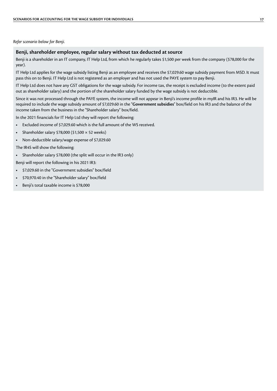#### *Refer scenario below for Benji.*

### **Benji, shareholder employee, regular salary without tax deducted at source**

Benji is a shareholder in an IT company, IT Help Ltd, from which he regularly takes \$1,500 per week from the company (\$78,000 for the year).

IT Help Ltd applies for the wage subsidy listing Benji as an employee and receives the \$7,029.60 wage subsidy payment from MSD. It must pass this on to Benji. IT Help Ltd is not registered as an employer and has not used the PAYE system to pay Benji.

IT Help Ltd does not have any GST obligations for the wage subsidy. For income tax, the receipt is excluded income (to the extent paid out as shareholder salary) and the portion of the shareholder salary funded by the wage subsidy is not deductible.

Since it was not processed through the PAYE system, the income will not appear in Benji's income profile in myIR and his IR3. He will be required to include the wage subsidy amount of \$7,029.60 in the "**Government subsidies**" box/field on his IR3 and the balance of the income taken from the business in the "Shareholder salary" box/field.

In the 2021 financials for IT Help Ltd they will report the following:

- **•** Excluded income of \$7,029.60 which is the full amount of the WS received.
- **•** Shareholder salary \$78,000 (\$1,500 × 52 weeks)
- **•** Non-deductible salary/wage expense of \$7,029.60

The IR4S will show the following:

**•** Shareholder salary \$78,000 (the split will occur in the IR3 only)

Benji will report the following in his 2021 IR3:

- **•** \$7,029.60 in the "Government subsidies" box/field
- **•** \$70,970.40 in the "Shareholder salary" box/field
- **•** Benji's total taxable income is \$78,000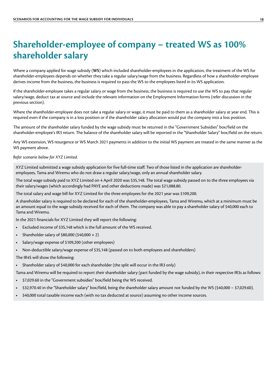### <span id="page-17-0"></span>**Shareholder-employee of company – treated WS as 100% shareholder salary**

Where a company applied for wage subsidy (**WS**) which included shareholder-employees in the application, the treatment of the WS for shareholder-employees depends on whether they take a regular salary/wage from the business. Regardless of how a shareholder-employee derives income from the business, the business is required to pass the WS to the employees listed in its WS application.

If the shareholder-employee takes a regular salary or wage from the business, the business is required to use the WS to pay that regular salary/wage, deduct tax at source and include the relevant information on the Employment Information forms (refer discussion in the previous section).

Where the shareholder-employee does not take a regular salary or wage, it must be paid to them as a shareholder salary at year end. This is required even if the company is in a loss position or if the shareholder salary allocation would put the company into a loss position.

The amount of the shareholder salary funded by the wage subsidy must be returned in the "Government Subsidies" box/field on the shareholder-employee's IR3 return. The balance of the shareholder salary will be reported in the "Shareholder Salary" box/field on the return.

Any WS extension, WS resurgence or WS March 2021 payments in addition to the initial WS payment are treated in the same manner as the WS payment above.

#### *Refer scenario below for XYZ Limited.*

XYZ Limited submitted a wage subsidy application for five full-time staff. Two of those listed in the application are shareholderemployees, Tama and Wiremu who do not draw a regular salary/wage, only an annual shareholder salary.

The total wage subsidy paid to XYZ Limited on 4 April 2020 was \$35,148. The total wage subsidy passed on to the three employees via their salary/wages (which accordingly had PAYE and other deductions made) was \$21,088.80.

The total salary and wage bill for XYZ Limited for the three employees for the 2021 year was \$109,200.

A shareholder salary is required to be declared for each of the shareholder-employees, Tama and Wiremu, which at a minimum must be an amount equal to the wage subsidy received for each of them. The company was able to pay a shareholder salary of \$40,000 each to Tama and Wiremu.

In the 2021 financials for XYZ Limited they will report the following:

- **•** Excluded income of \$35,148 which is the full amount of the WS received.
- **•** Shareholder salary of \$80,000 (\$40,000 × 2)
- **•** Salary/wage expense of \$109,200 (other employees)
- **•** Non-deductible salary/wage expense of \$35,148 (passed on to both employees and shareholders)

The IR4S will show the following:

**•** Shareholder salary of \$40,000 for each shareholder (the split will occur in the IR3 only)

Tama and Wiremu will be required to report their shareholder salary (part funded by the wage subsidy), in their respective IR3s as follows:

- **•** \$7,029.60 in the "Government subsidies" box/field being the WS received.
- **•** \$32,970.40 in the "Shareholder salary" box/field, being the shareholder salary amount not funded by the WS (\$40,000 − \$7,029.60).
- **•** \$40,000 total taxable income each (with no tax deducted at source) assuming no other income sources.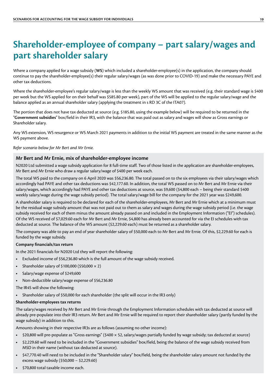### <span id="page-18-0"></span>**Shareholder-employee of company – part salary/wages and part shareholder salary**

Where a company applied for a wage subsidy (**WS**) which included a shareholder-employee(s) in the application, the company should continue to pay the shareholder-employee(s) their regular salary/wages (as was done prior to COVID-19) and make the necessary PAYE and other tax deductions.

Where the shareholder-employee's regular salary/wage is less than the weekly WS amount that was received (e.g. their standard wage is \$400 per week but the WS applied for on their behalf was \$585.80 per week), part of the WS will be applied to the regular salary/wage and the balance applied as an annual shareholder salary (applying the treatment in s RD 3C of the ITA07).

The portion that does not have tax deducted at source (e.g. \$185.80, using the example below) will be required to be returned in the "**Government subsidies**" box/field in their IR3, with the balance that was paid out as salary and wages will show as Gross earnings or Shareholder salary.

Any WS extension, WS resurgence or WS March 2021 payments in addition to the initial WS payment are treated in the same manner as the WS payment above.

#### *Refer scenario below for Mr Bert and Mr Ernie.*

### **Mr Bert and Mr Ernie, mix of shareholder-employee income**

N2020 Ltd submitted a wage subsidy application for 8 full-time staff. Two of those listed in the application are shareholder-employees, Mr Bert and Mr Ernie who draw a regular salary/wage of \$400 per week each.

The total WS paid to the company on 6 April 2020 was \$56,236.80. The total passed on to the six employees via their salary/wages which accordingly had PAYE and other tax deductions was \$42,177.60. In addition, the total WS passed on to Mr Bert and Mr Ernie via their salary/wages, which accordingly had PAYE and other tax deductions at source, was \$9,600 (\$4,800 each – being their standard \$400 weekly salary/wage during the wage subsidy period). The total salary/wage bill for the company for the 2021 year was \$249,600.

A shareholder salary is required to be declared for each of the shareholder-employees, Mr Bert and Mr Ernie which at a minimum must be the residual wage subsidy amount that was not paid out to them as salary and wages during the wage subsidy period (i.e. the wage subsidy received for each of them minus the amount already passed on and included in the Employment Information ("EI") schedules). Of the WS received of \$7,029.60 each for Mr Bert and Mr Ernie, \$4,800 has already been accounted for via the EI schedules with tax deducted at source. The balance of the WS amount (\$2,229.60 each) must be returned as a shareholder salary.

The company was able to pay an end of year shareholder salary of \$50,000 each to Mr Bert and Mr Ernie. Of this, \$2,229.60 for each is funded by the wage subsidy.

### **Company financials/tax return**

In the 2021 financials for N2020 Ltd they will report the following:

- **•** Excluded income of \$56,236.80 which is the full amount of the wage subsidy received.
- **•** Shareholder salary of \$100,000 (\$50,000 × 2)
- **•** Salary/wage expense of \$249,600
- **•** Non-deductible salary/wage expense of \$56,236.80

The IR4S will show the following:

**•** Shareholder salary of \$50,000 for each shareholder (the split will occur in the IR3 only)

#### **Shareholder-employees tax returns**

The salary/wages received by Mr Bert and Mr Ernie through the Employment Information schedules with tax deducted at source will already pre-populate into their IR3 return. Mr Bert and Mr Ernie will be required to report their shareholder salary (partly funded by the wage subsidy) in addition to this.

Amounts showing in their respective IR3s are as follows (assuming no other income):

- **•** \$20,800 will pre-populate as "Gross earnings" (\$400 × 52, salary/wages partially funded by wage subsidy; tax deducted at source)
- **•** \$2,229.60 will need to be included in the "Government subsidies" box/field, being the balance of the wage subsidy received from MSD in their name (without tax deducted at source).
- **•** \$47,770.40 will need to be included in the "Shareholder salary" box/field, being the shareholder salary amount not funded by the excess wage subsidy (\$50,000 − \$2,229.60)
- **•** \$70,800 total taxable income each.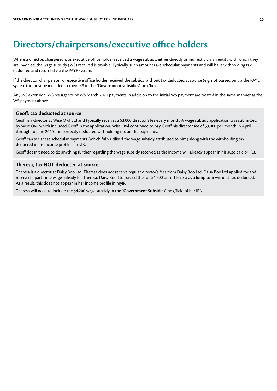### <span id="page-19-0"></span>**Directors/chairpersons/executive office holders**

Where a director, chairperson, or executive office holder received a wage subsidy, either directly or indirectly via an entity with which they are involved, the wage subsidy (**WS**) received is taxable. Typically, such amounts are schedular payments and will have withholding tax deducted and returned via the PAYE system.

If the director, chairperson, or executive office holder received the subsidy without tax deducted at source (e.g. not passed on via the PAYE system), it must be included in their IR3 in the "**Government subsidies**" box/field.

Any WS extension, WS resurgence or WS March 2021 payments in addition to the initial WS payment are treated in the same manner as the WS payment above.

### **Geoff, tax deducted at source**

Geoff is a director at Wise Owl Ltd and typically receives a \$3,000 director's fee every month. A wage subsidy application was submitted by Wise Owl which included Geoff in the application. Wise Owl continued to pay Geoff his director fee of \$3,000 per month in April through to June 2020 and correctly deducted withholding tax on the payments.

Geoff can see these schedular payments (which fully utilised the wage subsidy attributed to him) along with the withholding tax deducted in his income profile in myIR.

Geoff doesn't need to do anything further regarding the wage subsidy received as the income will already appear in his auto calc or IR3.

### **Theresa, tax NOT deducted at source**

Theresa is a director at Daisy Boo Ltd. Theresa does not receive regular director's fees from Daisy Boo Ltd. Daisy Boo Ltd applied for and received a part-time wage subsidy for Theresa. Daisy Boo Ltd passed the full \$4,200 onto Theresa as a lump sum without tax deducted. As a result, this does not appear in her income profile in myIR.

Theresa will need to include the \$4,200 wage subsidy in the "**Government Subsidies**" box/field of her IR3.